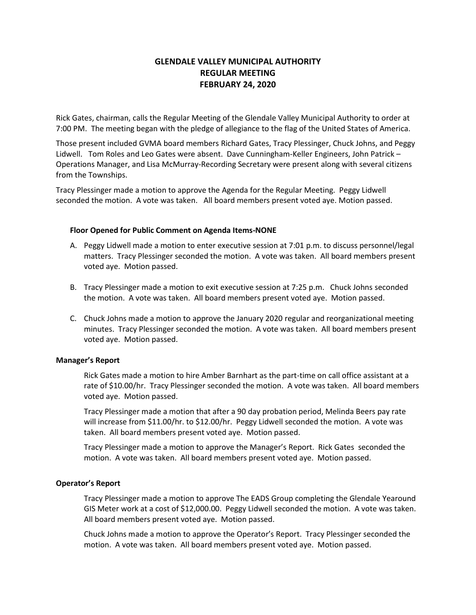# **GLENDALE VALLEY MUNICIPAL AUTHORITY REGULAR MEETING FEBRUARY 24, 2020**

Rick Gates, chairman, calls the Regular Meeting of the Glendale Valley Municipal Authority to order at 7:00 PM. The meeting began with the pledge of allegiance to the flag of the United States of America.

Those present included GVMA board members Richard Gates, Tracy Plessinger, Chuck Johns, and Peggy Lidwell. Tom Roles and Leo Gates were absent. Dave Cunningham-Keller Engineers, John Patrick – Operations Manager, and Lisa McMurray-Recording Secretary were present along with several citizens from the Townships.

Tracy Plessinger made a motion to approve the Agenda for the Regular Meeting. Peggy Lidwell seconded the motion. A vote was taken. All board members present voted aye. Motion passed.

### **Floor Opened for Public Comment on Agenda Items-NONE**

- A. Peggy Lidwell made a motion to enter executive session at 7:01 p.m. to discuss personnel/legal matters. Tracy Plessinger seconded the motion. A vote was taken. All board members present voted aye. Motion passed.
- B. Tracy Plessinger made a motion to exit executive session at 7:25 p.m. Chuck Johns seconded the motion. A vote was taken. All board members present voted aye. Motion passed.
- C. Chuck Johns made a motion to approve the January 2020 regular and reorganizational meeting minutes. Tracy Plessinger seconded the motion. A vote was taken. All board members present voted aye. Motion passed.

#### **Manager's Report**

Rick Gates made a motion to hire Amber Barnhart as the part-time on call office assistant at a rate of \$10.00/hr. Tracy Plessinger seconded the motion. A vote was taken. All board members voted aye. Motion passed.

Tracy Plessinger made a motion that after a 90 day probation period, Melinda Beers pay rate will increase from \$11.00/hr. to \$12.00/hr. Peggy Lidwell seconded the motion. A vote was taken. All board members present voted aye. Motion passed.

Tracy Plessinger made a motion to approve the Manager's Report. Rick Gates seconded the motion. A vote was taken. All board members present voted aye. Motion passed.

## **Operator's Report**

Tracy Plessinger made a motion to approve The EADS Group completing the Glendale Yearound GIS Meter work at a cost of \$12,000.00. Peggy Lidwell seconded the motion. A vote was taken. All board members present voted aye. Motion passed.

Chuck Johns made a motion to approve the Operator's Report. Tracy Plessinger seconded the motion. A vote was taken. All board members present voted aye. Motion passed.